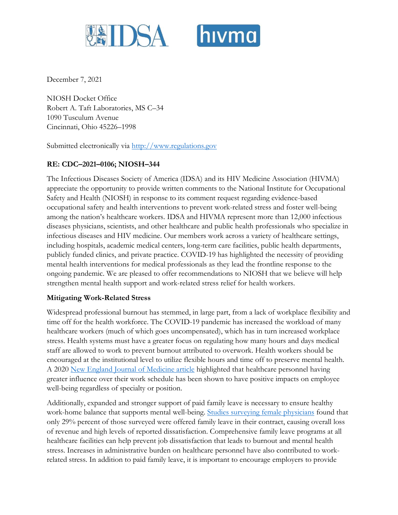



December 7, 2021

NIOSH Docket Office Robert A. Taft Laboratories, MS C–34 1090 Tusculum Avenue Cincinnati, Ohio 45226–1998

Submitted electronically via http://www.regulations.gov

## **RE: CDC–2021–0106; NIOSH–344**

The Infectious Diseases Society of America (IDSA) and its HIV Medicine Association (HIVMA) appreciate the opportunity to provide written comments to the National Institute for Occupational Safety and Health (NIOSH) in response to its comment request regarding evidence-based occupational safety and health interventions to prevent work-related stress and foster well-being among the nation's healthcare workers. IDSA and HIVMA represent more than 12,000 infectious diseases physicians, scientists, and other healthcare and public health professionals who specialize in infectious diseases and HIV medicine. Our members work across a variety of healthcare settings, including hospitals, academic medical centers, long-term care facilities, public health departments, publicly funded clinics, and private practice. COVID-19 has highlighted the necessity of providing mental health interventions for medical professionals as they lead the frontline response to the ongoing pandemic. We are pleased to offer recommendations to NIOSH that we believe will help strengthen mental health support and work-related stress relief for health workers.

## **Mitigating Work-Related Stress**

Widespread professional burnout has stemmed, in large part, from a lack of workplace flexibility and time off for the health workforce. The COVID-19 pandemic has increased the workload of many healthcare workers (much of which goes uncompensated), which has in turn increased workplace stress. Health systems must have a greater focus on regulating how many hours and days medical staff are allowed to work to prevent burnout attributed to overwork. Health workers should be encouraged at the institutional level to utilize flexible hours and time off to preserve mental health. A 2020 [New England Journal of Medicine article](https://www.nejm.org/doi/full/10.1056/NEJMp2003149) highlighted that healthcare personnel having greater influence over their work schedule has been shown to have positive impacts on employee well-being regardless of specialty or position.

Additionally, expanded and stronger support of paid family leave is necessary to ensure healthy work-home balance that supports mental well-being. [Studies surveying female physicians](https://journals.lww.com/annalsofsurgery/Abstract/2017/08000/Impact_of_Procedural_Specialty_on_Maternity_Leave.3.aspx) found that only 29% percent of those surveyed were offered family leave in their contract, causing overall loss of revenue and high levels of reported dissatisfaction. Comprehensive family leave programs at all healthcare facilities can help prevent job dissatisfaction that leads to burnout and mental health stress. Increases in administrative burden on healthcare personnel have also contributed to workrelated stress. In addition to paid family leave, it is important to encourage employers to provide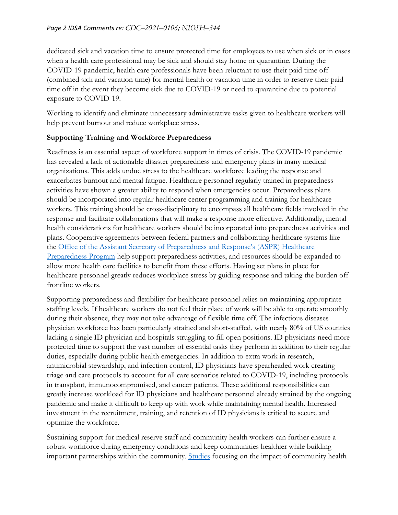dedicated sick and vacation time to ensure protected time for employees to use when sick or in cases when a health care professional may be sick and should stay home or quarantine. During the COVID-19 pandemic, health care professionals have been reluctant to use their paid time off (combined sick and vacation time) for mental health or vacation time in order to reserve their paid time off in the event they become sick due to COVID-19 or need to quarantine due to potential exposure to COVID-19.

Working to identify and eliminate unnecessary administrative tasks given to healthcare workers will help prevent burnout and reduce workplace stress.

## **Supporting Training and Workforce Preparedness**

Readiness is an essential aspect of workforce support in times of crisis. The COVID-19 pandemic has revealed a lack of actionable disaster preparedness and emergency plans in many medical organizations. This adds undue stress to the healthcare workforce leading the response and exacerbates burnout and mental fatigue. Healthcare personnel regularly trained in preparedness activities have shown a greater ability to respond when emergencies occur. Preparedness plans should be incorporated into regular healthcare center programming and training for healthcare workers. This training should be cross-disciplinary to encompass all healthcare fields involved in the response and facilitate collaborations that will make a response more effective. Additionally, mental health considerations for healthcare workers should be incorporated into preparedness activities and plans. Cooperative agreements between federal partners and collaborating healthcare systems like the [Office of the Assistant Secretary](https://www.phe.gov/Preparedness/planning/hpp/Pages/default.aspx) of Preparedness and Response's (ASPR) Healthcare [Preparedness Program](https://www.phe.gov/Preparedness/planning/hpp/Pages/default.aspx) help support preparedness activities, and resources should be expanded to allow more health care facilities to benefit from these efforts. Having set plans in place for healthcare personnel greatly reduces workplace stress by guiding response and taking the burden off frontline workers.

Supporting preparedness and flexibility for healthcare personnel relies on maintaining appropriate staffing levels. If healthcare workers do not feel their place of work will be able to operate smoothly during their absence, they may not take advantage of flexible time off. The infectious diseases physician workforce has been particularly strained and short-staffed, with nearly 80% of US counties lacking a single ID physician and hospitals struggling to fill open positions. ID physicians need more protected time to support the vast number of essential tasks they perform in addition to their regular duties, especially during public health emergencies. In addition to extra work in research, antimicrobial stewardship, and infection control, ID physicians have spearheaded work creating triage and care protocols to account for all care scenarios related to COVID-19, including protocols in transplant, immunocompromised, and cancer patients. These additional responsibilities can greatly increase workload for ID physicians and healthcare personnel already strained by the ongoing pandemic and make it difficult to keep up with work while maintaining mental health. Increased investment in the recruitment, training, and retention of ID physicians is critical to secure and optimize the workforce.

Sustaining support for medical reserve staff and community health workers can further ensure a robust workforce during emergency conditions and keep communities healthier while building important partnerships within the community. [Studies](https://www.healthaffairs.org/doi/10.1377/hlthaff.2019.00981) focusing on the impact of community health